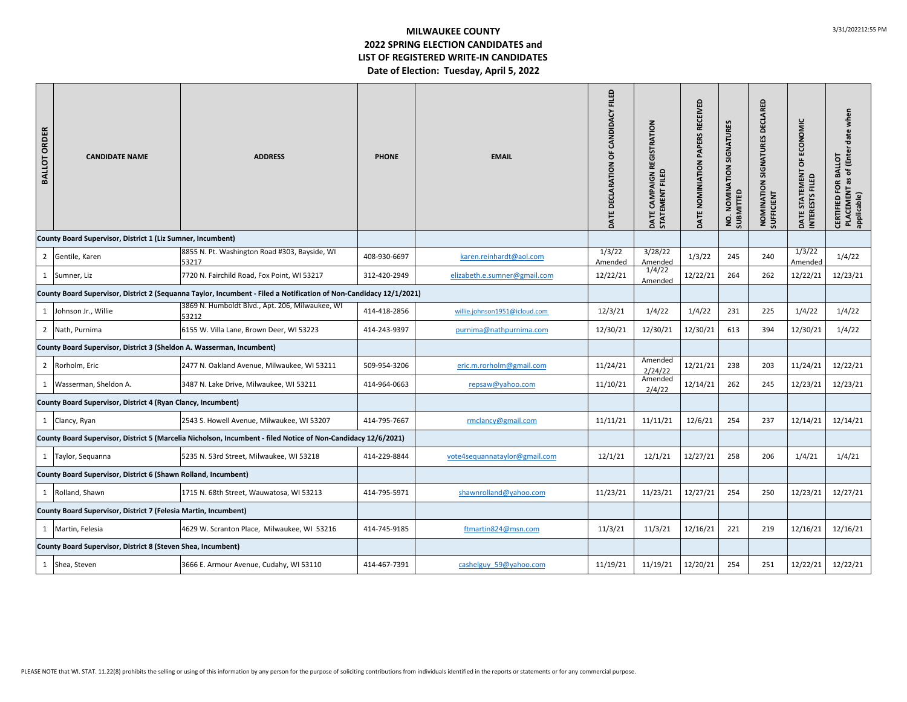## **MILWAUKEE COUNTY2022 SPRING ELECTION CANDIDATES and LIST OF REGISTERED WRITE‐IN CANDIDATES Date of Election: Tuesday, April 5, 2022**

| <b>BALLOT ORDER</b>                                                                                                | <b>CANDIDATE NAME</b>                                       | <b>ADDRESS</b>                                                                                                | <b>PHONE</b> | <b>EMAIL</b>                  | FILED<br>CANDIDACY<br>ŏ<br>DATE DECLARATION | CAMPAIGN REGISTRATION<br><b>STATEMENT FILED</b><br>DATE | <b>RECEIVED</b><br>PAPERS<br>DATE NOMINIATION | <b>NOMINATION SIGNATURES</b><br>NO. NOMIN<br>SUBMITTED | DECLARED<br>NOMINATION SIGNATURES<br><b>SUFFICIENT</b> | DATE STATEMENT OF ECONOMIC<br><b>INTEREST</b> | PLACEMENT as of (Enter date when<br>CERTIFIED FOR BALLOT<br>applicable) |
|--------------------------------------------------------------------------------------------------------------------|-------------------------------------------------------------|---------------------------------------------------------------------------------------------------------------|--------------|-------------------------------|---------------------------------------------|---------------------------------------------------------|-----------------------------------------------|--------------------------------------------------------|--------------------------------------------------------|-----------------------------------------------|-------------------------------------------------------------------------|
|                                                                                                                    | County Board Supervisor, District 1 (Liz Sumner, Incumbent) |                                                                                                               |              |                               |                                             |                                                         |                                               |                                                        |                                                        |                                               |                                                                         |
|                                                                                                                    | 2 Gentile, Karen                                            | 8855 N. Pt. Washington Road #303, Bayside, WI<br>53217                                                        | 408-930-6697 | karen.reinhardt@aol.com       | 1/3/22<br>Amended                           | 3/28/22<br>Amended                                      | 1/3/22                                        | 245                                                    | 240                                                    | 1/3/22<br>Amended                             | 1/4/22                                                                  |
|                                                                                                                    | 1 Sumner, Liz                                               | 7720 N. Fairchild Road, Fox Point, WI 53217                                                                   | 312-420-2949 | elizabeth.e.sumner@gmail.com  | 12/22/21                                    | 1/4/22<br>Amended                                       | 12/22/21                                      | 264                                                    | 262                                                    | 12/22/21                                      | 12/23/21                                                                |
| County Board Supervisor, District 2 (Sequanna Taylor, Incumbent - Filed a Notification of Non-Candidacy 12/1/2021) |                                                             |                                                                                                               |              |                               |                                             |                                                         |                                               |                                                        |                                                        |                                               |                                                                         |
|                                                                                                                    | 1 Johnson Jr., Willie                                       | 3869 N. Humboldt Blvd., Apt. 206, Milwaukee, WI<br>53212                                                      | 414-418-2856 | willie.johnson1951@icloud.com | 12/3/21                                     | 1/4/22                                                  | 1/4/22                                        | 231                                                    | 225                                                    | 1/4/22                                        | 1/4/22                                                                  |
|                                                                                                                    | 2 Nath, Purnima                                             | 6155 W. Villa Lane, Brown Deer, WI 53223                                                                      | 414-243-9397 | purnima@nathpurnima.com       | 12/30/21                                    | 12/30/21                                                | 12/30/21                                      | 613                                                    | 394                                                    | 12/30/21                                      | 1/4/22                                                                  |
| County Board Supervisor, District 3 (Sheldon A. Wasserman, Incumbent)                                              |                                                             |                                                                                                               |              |                               |                                             |                                                         |                                               |                                                        |                                                        |                                               |                                                                         |
|                                                                                                                    | 2 Rorholm, Eric                                             | 2477 N. Oakland Avenue, Milwaukee, WI 53211                                                                   | 509-954-3206 | eric.m.rorholm@gmail.com      | 11/24/21                                    | Amended<br>2/24/22                                      | 12/21/21                                      | 238                                                    | 203                                                    | 11/24/21                                      | 12/22/21                                                                |
|                                                                                                                    | 1 Wasserman, Sheldon A.                                     | 3487 N. Lake Drive, Milwaukee, WI 53211                                                                       | 414-964-0663 | repsaw@yahoo.com              | 11/10/21                                    | Amended<br>2/4/22                                       | 12/14/21                                      | 262                                                    | 245                                                    | 12/23/21                                      | 12/23/21                                                                |
| County Board Supervisor, District 4 (Ryan Clancy, Incumbent)                                                       |                                                             |                                                                                                               |              |                               |                                             |                                                         |                                               |                                                        |                                                        |                                               |                                                                         |
|                                                                                                                    | 1 Clancy, Ryan                                              | 2543 S. Howell Avenue, Milwaukee, WI 53207                                                                    | 414-795-7667 | rmclancy@gmail.com            | 11/11/21                                    | 11/11/21                                                | 12/6/21                                       | 254                                                    | 237                                                    | 12/14/21                                      | 12/14/21                                                                |
|                                                                                                                    |                                                             | County Board Supervisor, District 5 (Marcelia Nicholson, Incumbent - filed Notice of Non-Candidacy 12/6/2021) |              |                               |                                             |                                                         |                                               |                                                        |                                                        |                                               |                                                                         |
|                                                                                                                    | 1 Taylor, Sequanna                                          | 5235 N. 53rd Street, Milwaukee, WI 53218                                                                      | 414-229-8844 | vote4sequannataylor@gmail.com | 12/1/21                                     | 12/1/21                                                 | 12/27/21                                      | 258                                                    | 206                                                    | 1/4/21                                        | 1/4/21                                                                  |
| County Board Supervisor, District 6 (Shawn Rolland, Incumbent)                                                     |                                                             |                                                                                                               |              |                               |                                             |                                                         |                                               |                                                        |                                                        |                                               |                                                                         |
|                                                                                                                    | 1 Rolland, Shawn                                            | 1715 N. 68th Street, Wauwatosa, WI 53213                                                                      | 414-795-5971 | shawnrolland@yahoo.com        | 11/23/21                                    | 11/23/21                                                | 12/27/21                                      | 254                                                    | 250                                                    | 12/23/21                                      | 12/27/21                                                                |
| County Board Supervisor, District 7 (Felesia Martin, Incumbent)                                                    |                                                             |                                                                                                               |              |                               |                                             |                                                         |                                               |                                                        |                                                        |                                               |                                                                         |
|                                                                                                                    | 1 Martin, Felesia                                           | 4629 W. Scranton Place, Milwaukee, WI 53216                                                                   | 414-745-9185 | ftmartin824@msn.com           | 11/3/21                                     | 11/3/21                                                 | 12/16/21                                      | 221                                                    | 219                                                    | 12/16/21                                      | 12/16/21                                                                |
| County Board Supervisor, District 8 (Steven Shea, Incumbent)                                                       |                                                             |                                                                                                               |              |                               |                                             |                                                         |                                               |                                                        |                                                        |                                               |                                                                         |
|                                                                                                                    | 1 Shea, Steven                                              | 3666 E. Armour Avenue, Cudahy, WI 53110                                                                       | 414-467-7391 | cashelguy 59@yahoo.com        | 11/19/21                                    | 11/19/21                                                | 12/20/21                                      | 254                                                    | 251                                                    | 12/22/21                                      | 12/22/21                                                                |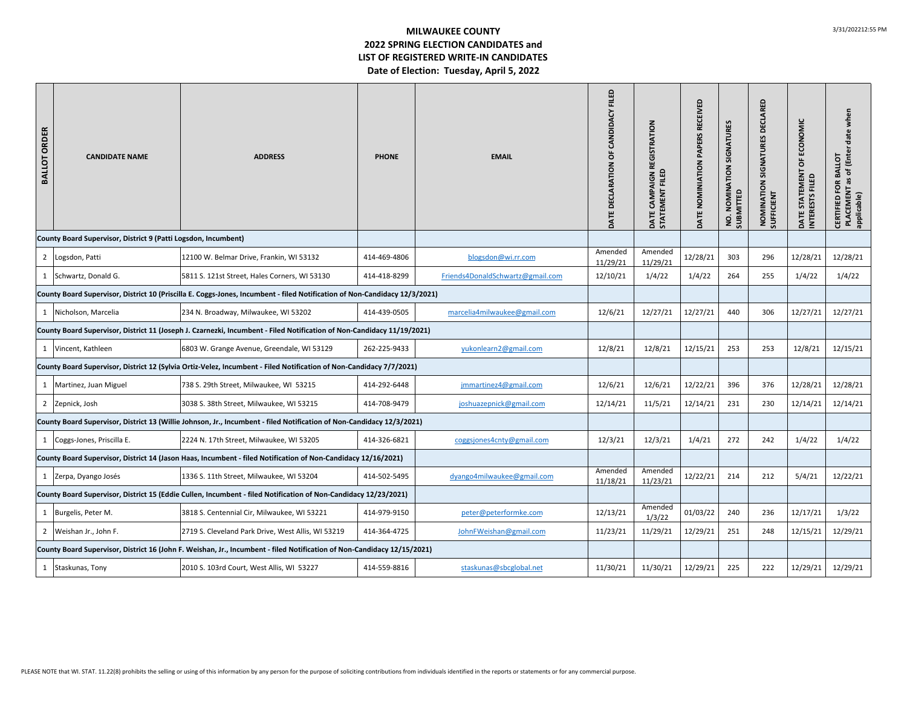## **MILWAUKEE COUNTY2022 SPRING ELECTION CANDIDATES and LIST OF REGISTERED WRITE‐IN CANDIDATES Date of Election: Tuesday, April 5, 2022**

| <b>BALLOT ORDER</b>                                                                                                     | <b>CANDIDATE NAME</b>                                                                                           | <b>ADDRESS</b>                                                                                                             | <b>PHONE</b> | <b>EMAIL</b>                     | FILED<br>DATE DECLARATION OF CANDIDACY | DATE CAMPAIGN REGISTRATION<br>STATEMENT FILED | RECEIVED<br>PAPERS<br>DATE NOMINIATION | NOMINATION SIGNATURES<br>NO. NOMIN<br>SUBMITTED | DECLARED<br>NOMINATION SIGNATURES<br><b>SUFFICIENT</b> | DATE STATEMENT OF ECONOMIC<br><b>INTERESTS</b> | PLACEMENT as of (Enter date when<br>CERTIFIED FOR BALLOT<br>applicable) |
|-------------------------------------------------------------------------------------------------------------------------|-----------------------------------------------------------------------------------------------------------------|----------------------------------------------------------------------------------------------------------------------------|--------------|----------------------------------|----------------------------------------|-----------------------------------------------|----------------------------------------|-------------------------------------------------|--------------------------------------------------------|------------------------------------------------|-------------------------------------------------------------------------|
|                                                                                                                         | County Board Supervisor, District 9 (Patti Logsdon, Incumbent)                                                  |                                                                                                                            |              |                                  |                                        |                                               |                                        |                                                 |                                                        |                                                |                                                                         |
|                                                                                                                         | 2 Logsdon, Patti                                                                                                | 12100 W. Belmar Drive, Frankin, WI 53132                                                                                   | 414-469-4806 | blogsdon@wi.rr.com               | Amended<br>11/29/21                    | Amended<br>11/29/21                           | 12/28/21                               | 303                                             | 296                                                    | 12/28/21                                       | 12/28/21                                                                |
|                                                                                                                         | 1 Schwartz, Donald G.                                                                                           | 5811 S. 121st Street, Hales Corners, WI 53130                                                                              | 414-418-8299 | Friends4DonaldSchwartz@gmail.com | 12/10/21                               | 1/4/22                                        | 1/4/22                                 | 264                                             | 255                                                    | 1/4/22                                         | 1/4/22                                                                  |
|                                                                                                                         |                                                                                                                 | County Board Supervisor, District 10 (Priscilla E. Coggs-Jones, Incumbent - filed Notification of Non-Candidacy 12/3/2021) |              |                                  |                                        |                                               |                                        |                                                 |                                                        |                                                |                                                                         |
|                                                                                                                         | 1 Nicholson, Marcelia                                                                                           | 234 N. Broadway, Milwaukee, WI 53202                                                                                       | 414-439-0505 | marcelia4milwaukee@gmail.com     | 12/6/21                                | 12/27/21                                      | 12/27/21                               | 440                                             | 306                                                    | 12/27/21                                       | 12/27/21                                                                |
| County Board Supervisor, District 11 (Joseph J. Czarnezki, Incumbent - Filed Notification of Non-Candidacy 11/19/2021)  |                                                                                                                 |                                                                                                                            |              |                                  |                                        |                                               |                                        |                                                 |                                                        |                                                |                                                                         |
|                                                                                                                         | 1 Vincent, Kathleen                                                                                             | 6803 W. Grange Avenue, Greendale, WI 53129                                                                                 | 262-225-9433 | yukonlearn2@gmail.com            | 12/8/21                                | 12/8/21                                       | 12/15/21                               | 253                                             | 253                                                    | 12/8/21                                        | 12/15/21                                                                |
|                                                                                                                         |                                                                                                                 | County Board Supervisor, District 12 (Sylvia Ortiz-Velez, Incumbent - Filed Notification of Non-Candidacy 7/7/2021)        |              |                                  |                                        |                                               |                                        |                                                 |                                                        |                                                |                                                                         |
|                                                                                                                         | 1 Martinez, Juan Miguel                                                                                         | 738 S. 29th Street, Milwaukee, WI 53215                                                                                    | 414-292-6448 | jmmartinez4@gmail.com            | 12/6/21                                | 12/6/21                                       | 12/22/21                               | 396                                             | 376                                                    | 12/28/21                                       | 12/28/21                                                                |
|                                                                                                                         | 2 Zepnick, Josh                                                                                                 | 3038 S. 38th Street, Milwaukee, WI 53215                                                                                   | 414-708-9479 | joshuazepnick@gmail.com          | 12/14/21                               | 11/5/21                                       | 12/14/21                               | 231                                             | 230                                                    | 12/14/21                                       | 12/14/21                                                                |
|                                                                                                                         |                                                                                                                 | County Board Supervisor, District 13 (Willie Johnson, Jr., Incumbent - filed Notification of Non-Candidacy 12/3/2021)      |              |                                  |                                        |                                               |                                        |                                                 |                                                        |                                                |                                                                         |
|                                                                                                                         | 1 Coggs-Jones, Priscilla E.                                                                                     | 2224 N. 17th Street, Milwaukee, WI 53205                                                                                   | 414-326-6821 | coggsjones4cnty@gmail.com        | 12/3/21                                | 12/3/21                                       | 1/4/21                                 | 272                                             | 242                                                    | 1/4/22                                         | 1/4/22                                                                  |
|                                                                                                                         |                                                                                                                 | County Board Supervisor, District 14 (Jason Haas, Incumbent - filed Notification of Non-Candidacy 12/16/2021)              |              |                                  |                                        |                                               |                                        |                                                 |                                                        |                                                |                                                                         |
|                                                                                                                         | 1 Zerpa, Dyango Josés                                                                                           | 1336 S. 11th Street, Milwaukee, WI 53204                                                                                   | 414-502-5495 | dyango4milwaukee@gmail.com       | Amended<br>11/18/21                    | Amended<br>11/23/21                           | 12/22/21                               | 214                                             | 212                                                    | 5/4/21                                         | 12/22/21                                                                |
|                                                                                                                         | County Board Supervisor, District 15 (Eddie Cullen, Incumbent - filed Notification of Non-Candidacy 12/23/2021) |                                                                                                                            |              |                                  |                                        |                                               |                                        |                                                 |                                                        |                                                |                                                                         |
|                                                                                                                         | 1 Burgelis, Peter M.                                                                                            | 3818 S. Centennial Cir, Milwaukee, WI 53221                                                                                | 414-979-9150 | peter@peterformke.com            | 12/13/21                               | Amended<br>1/3/22                             | 01/03/22                               | 240                                             | 236                                                    | 12/17/21                                       | 1/3/22                                                                  |
|                                                                                                                         | 2 Weishan Jr., John F.                                                                                          | 2719 S. Cleveland Park Drive, West Allis, WI 53219                                                                         | 414-364-4725 | JohnFWeishan@gmail.com           | 11/23/21                               | 11/29/21                                      | 12/29/21                               | 251                                             | 248                                                    | 12/15/21                                       | 12/29/21                                                                |
| County Board Supervisor, District 16 (John F. Weishan, Jr., Incumbent - filed Notification of Non-Candidacy 12/15/2021) |                                                                                                                 |                                                                                                                            |              |                                  |                                        |                                               |                                        |                                                 |                                                        |                                                |                                                                         |
|                                                                                                                         | 1 Staskunas, Tony                                                                                               | 2010 S. 103rd Court, West Allis, WI 53227                                                                                  | 414-559-8816 | staskunas@sbcglobal.net          | 11/30/21                               | 11/30/21                                      | 12/29/21                               | 225                                             | 222                                                    | 12/29/21                                       | 12/29/21                                                                |